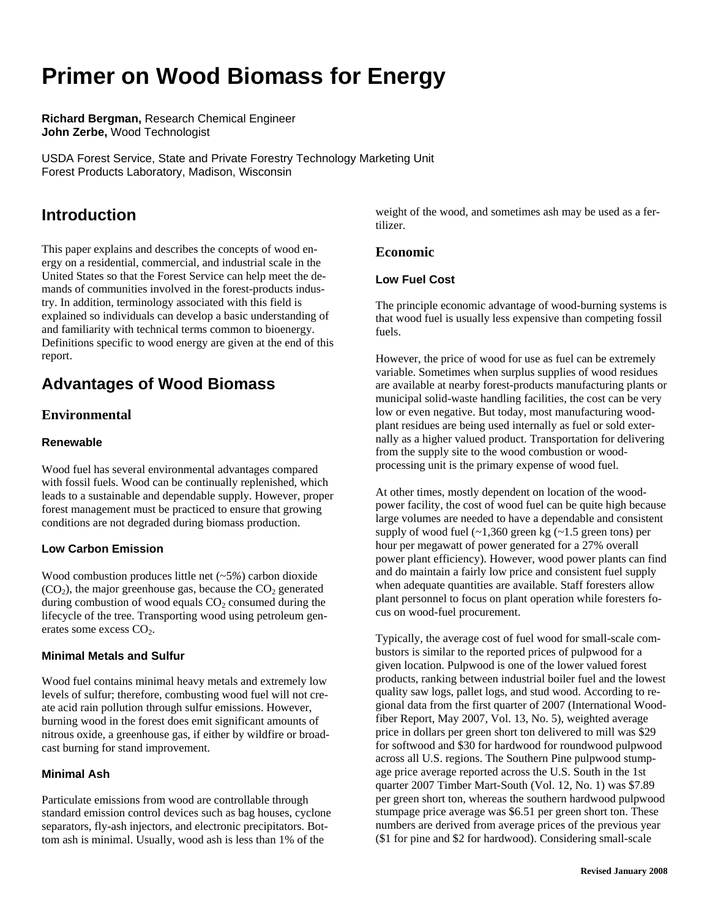# **Primer on Wood Biomass for Energy**

**Richard Bergman,** Research Chemical Engineer **John Zerbe,** Wood Technologist

USDA Forest Service, State and Private Forestry Technology Marketing Unit Forest Products Laboratory, Madison, Wisconsin

# **Introduction**

This paper explains and describes the concepts of wood energy on a residential, commercial, and industrial scale in the United States so that the Forest Service can help meet the demands of communities involved in the forest-products industry. In addition, terminology associated with this field is explained so individuals can develop a basic understanding of and familiarity with technical terms common to bioenergy. Definitions specific to wood energy are given at the end of this report.

# **Advantages of Wood Biomass**

# **Environmental**

### **Renewable**

Wood fuel has several environmental advantages compared with fossil fuels. Wood can be continually replenished, which leads to a sustainable and dependable supply. However, proper forest management must be practiced to ensure that growing conditions are not degraded during biomass production.

### **Low Carbon Emission**

Wood combustion produces little net (~5*%*) carbon dioxide  $(CO<sub>2</sub>)$ , the major greenhouse gas, because the  $CO<sub>2</sub>$  generated during combustion of wood equals  $CO<sub>2</sub>$  consumed during the lifecycle of the tree. Transporting wood using petroleum generates some excess  $CO<sub>2</sub>$ .

#### **Minimal Metals and Sulfur**

Wood fuel contains minimal heavy metals and extremely low levels of sulfur; therefore, combusting wood fuel will not create acid rain pollution through sulfur emissions. However, burning wood in the forest does emit significant amounts of nitrous oxide, a greenhouse gas, if either by wildfire or broadcast burning for stand improvement.

### **Minimal Ash**

Particulate emissions from wood are controllable through standard emission control devices such as bag houses, cyclone separators, fly-ash injectors, and electronic precipitators. Bottom ash is minimal. Usually, wood ash is less than 1% of the

weight of the wood, and sometimes ash may be used as a fertilizer.

### **Economic**

### **Low Fuel Cost**

The principle economic advantage of wood-burning systems is that wood fuel is usually less expensive than competing fossil fuels.

However, the price of wood for use as fuel can be extremely variable. Sometimes when surplus supplies of wood residues are available at nearby forest-products manufacturing plants or municipal solid-waste handling facilities, the cost can be very low or even negative. But today, most manufacturing woodplant residues are being used internally as fuel or sold externally as a higher valued product. Transportation for delivering from the supply site to the wood combustion or woodprocessing unit is the primary expense of wood fuel.

At other times, mostly dependent on location of the woodpower facility, the cost of wood fuel can be quite high because large volumes are needed to have a dependable and consistent supply of wood fuel  $(-1,360)$  green kg  $(-1.5)$  green tons) per hour per megawatt of power generated for a 27% overall power plant efficiency). However, wood power plants can find and do maintain a fairly low price and consistent fuel supply when adequate quantities are available. Staff foresters allow plant personnel to focus on plant operation while foresters focus on wood-fuel procurement.

Typically, the average cost of fuel wood for small-scale combustors is similar to the reported prices of pulpwood for a given location. Pulpwood is one of the lower valued forest products, ranking between industrial boiler fuel and the lowest quality saw logs, pallet logs, and stud wood. According to regional data from the first quarter of 2007 (International Woodfiber Report, May 2007, Vol. 13, No. 5), weighted average price in dollars per green short ton delivered to mill was \$29 for softwood and \$30 for hardwood for roundwood pulpwood across all U.S. regions. The Southern Pine pulpwood stumpage price average reported across the U.S. South in the 1st quarter 2007 Timber Mart-South (Vol. 12, No. 1) was \$7.89 per green short ton, whereas the southern hardwood pulpwood stumpage price average was \$6.51 per green short ton. These numbers are derived from average prices of the previous year (\$1 for pine and \$2 for hardwood). Considering small-scale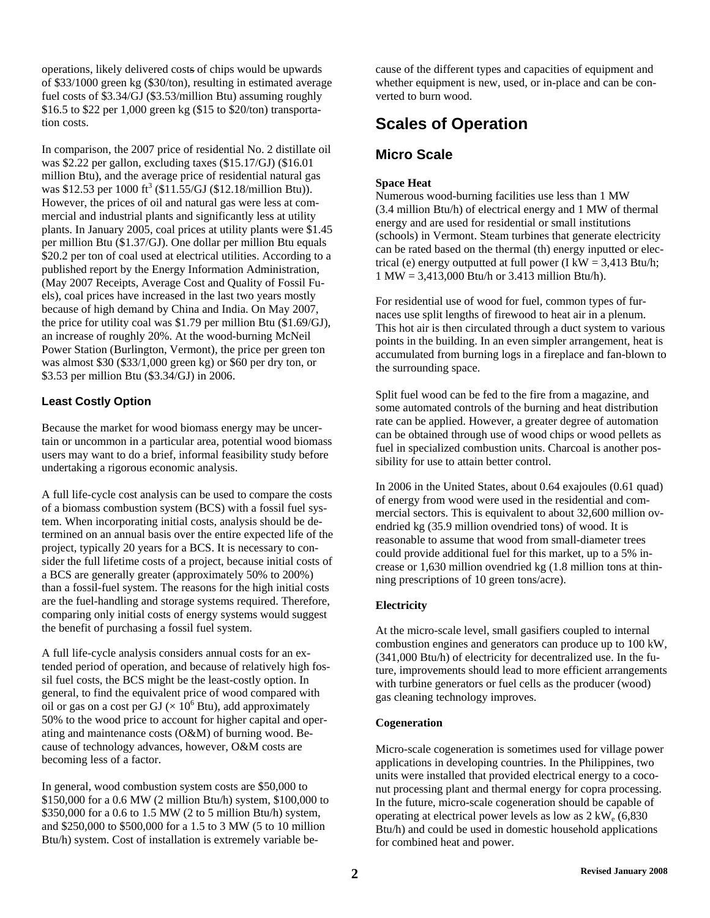operations, likely delivered costs of chips would be upwards of \$33/1000 green kg (\$30/ton), resulting in estimated average fuel costs of \$3.34/GJ (\$3.53/million Btu) assuming roughly \$16.5 to \$22 per 1,000 green kg (\$15 to \$20/ton) transportation costs.

In comparison, the 2007 price of residential No. 2 distillate oil was \$2.22 per gallon, excluding taxes (\$15.17/GJ) (\$16.01 million Btu), and the average price of residential natural gas was \$12.53 per 1000 ft<sup>3</sup> (\$11.55/GJ (\$12.18/million Btu)). However, the prices of oil and natural gas were less at commercial and industrial plants and significantly less at utility plants. In January 2005, coal prices at utility plants were \$1.45 per million Btu (\$1.37/GJ). One dollar per million Btu equals \$20.2 per ton of coal used at electrical utilities. According to a published report by the Energy Information Administration, (May 2007 Receipts, Average Cost and Quality of Fossil Fuels), coal prices have increased in the last two years mostly because of high demand by China and India. On May 2007, the price for utility coal was \$1.79 per million Btu (\$1.69/GJ), an increase of roughly 20%. At the wood-burning McNeil Power Station (Burlington, Vermont), the price per green ton was almost \$30 (\$33/1,000 green kg) or \$60 per dry ton, or \$3.53 per million Btu (\$3.34/GJ) in 2006.

### **Least Costly Option**

Because the market for wood biomass energy may be uncertain or uncommon in a particular area, potential wood biomass users may want to do a brief, informal feasibility study before undertaking a rigorous economic analysis.

A full life-cycle cost analysis can be used to compare the costs of a biomass combustion system (BCS) with a fossil fuel system. When incorporating initial costs, analysis should be determined on an annual basis over the entire expected life of the project, typically 20 years for a BCS. It is necessary to consider the full lifetime costs of a project, because initial costs of a BCS are generally greater (approximately 50% to 200%) than a fossil-fuel system. The reasons for the high initial costs are the fuel-handling and storage systems required. Therefore, comparing only initial costs of energy systems would suggest the benefit of purchasing a fossil fuel system.

A full life-cycle analysis considers annual costs for an extended period of operation, and because of relatively high fossil fuel costs, the BCS might be the least-costly option. In general, to find the equivalent price of wood compared with oil or gas on a cost per GJ ( $\times$  10<sup>6</sup> Btu), add approximately 50% to the wood price to account for higher capital and operating and maintenance costs (O&M) of burning wood. Because of technology advances, however, O&M costs are becoming less of a factor.

In general, wood combustion system costs are \$50,000 to \$150,000 for a 0.6 MW (2 million Btu/h) system, \$100,000 to \$350,000 for a 0.6 to 1.5 MW (2 to 5 million Btu/h) system, and \$250,000 to \$500,000 for a 1.5 to 3 MW (5 to 10 million Btu/h) system. Cost of installation is extremely variable because of the different types and capacities of equipment and whether equipment is new, used, or in-place and can be converted to burn wood.

# **Scales of Operation**

### **Micro Scale**

#### **Space Heat**

Numerous wood-burning facilities use less than 1 MW (3.4 million Btu/h) of electrical energy and 1 MW of thermal energy and are used for residential or small institutions (schools) in Vermont. Steam turbines that generate electricity can be rated based on the thermal (th) energy inputted or electrical (e) energy outputted at full power (I kW =  $3,413$  Btu/h; 1 MW = 3,413,000 Btu/h or 3.413 million Btu/h).

For residential use of wood for fuel, common types of furnaces use split lengths of firewood to heat air in a plenum. This hot air is then circulated through a duct system to various points in the building. In an even simpler arrangement, heat is accumulated from burning logs in a fireplace and fan-blown to the surrounding space.

Split fuel wood can be fed to the fire from a magazine, and some automated controls of the burning and heat distribution rate can be applied. However, a greater degree of automation can be obtained through use of wood chips or wood pellets as fuel in specialized combustion units. Charcoal is another possibility for use to attain better control.

In 2006 in the United States, about 0.64 exajoules (0.61 quad) of energy from wood were used in the residential and commercial sectors. This is equivalent to about 32,600 million ovendried kg (35.9 million ovendried tons) of wood. It is reasonable to assume that wood from small-diameter trees could provide additional fuel for this market, up to a 5% increase or 1,630 million ovendried kg (1.8 million tons at thinning prescriptions of 10 green tons/acre).

#### **Electricity**

At the micro-scale level, small gasifiers coupled to internal combustion engines and generators can produce up to 100 kW, (341,000 Btu/h) of electricity for decentralized use. In the future, improvements should lead to more efficient arrangements with turbine generators or fuel cells as the producer (wood) gas cleaning technology improves.

#### **Cogeneration**

Micro-scale cogeneration is sometimes used for village power applications in developing countries. In the Philippines, two units were installed that provided electrical energy to a coconut processing plant and thermal energy for copra processing. In the future, micro-scale cogeneration should be capable of operating at electrical power levels as low as  $2 \text{ kW}_e (6,830)$ Btu/h) and could be used in domestic household applications for combined heat and power.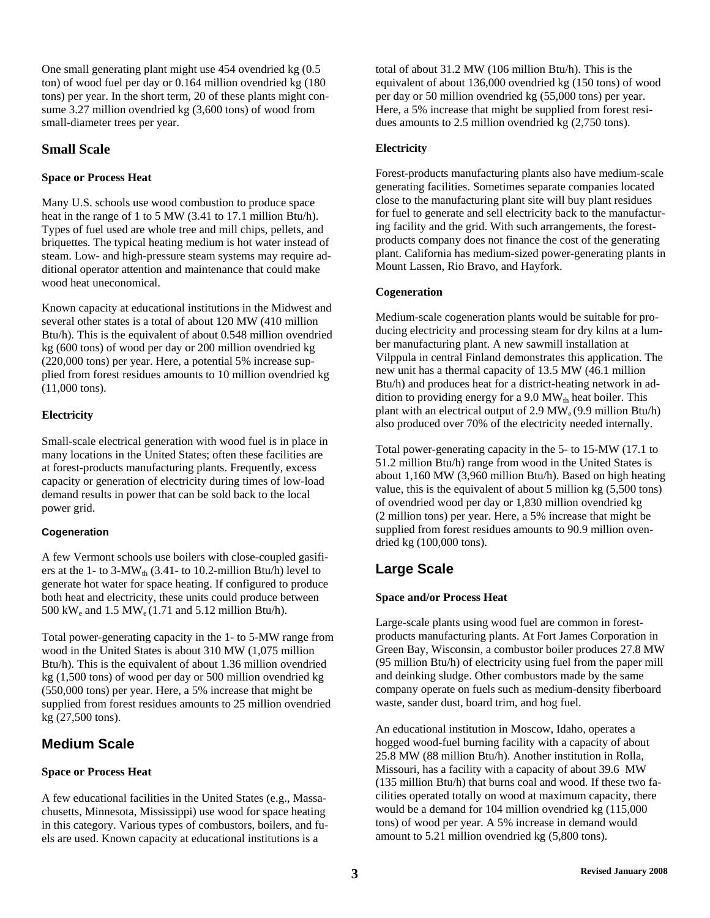One small generating plant might use 454 ovendried kg (0.5 ton) of wood fuel per day or 0.164 million ovendried kg (180 tons) per year. In the short term, 20 of these plants might consume 3.27 million ovendried kg (3,600 tons) of wood from small-diameter trees per year.

### **Small Scale**

### **Space or Process Heat**

Many U.S. schools use wood combustion to produce space heat in the range of 1 to 5 MW (3.41 to 17.1 million Btu/h). Types of fuel used are whole tree and mill chips, pellets, and briquettes. The typical heating medium is hot water instead of steam. Low- and high-pressure steam systems may require additional operator attention and maintenance that could make wood heat uneconomical.

Known capacity at educational institutions in the Midwest and several other states is a total of about 120 MW (410 million Btu/h). This is the equivalent of about 0.548 million ovendried kg (600 tons) of wood per day or 200 million ovendried kg (220,000 tons) per year. Here, a potential 5% increase supplied from forest residues amounts to 10 million ovendried kg (11,000 tons).

### **Electricity**

Small-scale electrical generation with wood fuel is in place in many locations in the United States; often these facilities are at forest-products manufacturing plants. Frequently, excess capacity or generation of electricity during times of low-load demand results in power that can be sold back to the local power grid.

### **Cogeneration**

A few Vermont schools use boilers with close-coupled gasifiers at the 1- to 3-MW<sub>th</sub> (3.41- to 10.2-million Btu/h) level to generate hot water for space heating. If configured to produce both heat and electricity, these units could produce between 500 kW<sub>e</sub> and 1.5 MW<sub>e</sub> (1.71 and 5.12 million Btu/h).

Total power-generating capacity in the 1- to 5-MW range from wood in the United States is about 310 MW (1,075 million Btu/h). This is the equivalent of about 1.36 million ovendried kg (1,500 tons) of wood per day or 500 million ovendried kg (550,000 tons) per year. Here, a 5% increase that might be supplied from forest residues amounts to 25 million ovendried kg (27,500 tons).

# **Medium Scale**

### **Space or Process Heat**

A few educational facilities in the United States (e.g., Massachusetts, Minnesota, Mississippi) use wood for space heating in this category. Various types of combustors, boilers, and fuels are used. Known capacity at educational institutions is a

total of about 31.2 MW (106 million Btu/h). This is the equivalent of about 136,000 ovendried kg (150 tons) of wood per day or 50 million ovendried kg (55,000 tons) per year. Here, a 5% increase that might be supplied from forest residues amounts to 2.5 million ovendried kg (2,750 tons).

### **Electricity**

Forest-products manufacturing plants also have medium-scale generating facilities. Sometimes separate companies located close to the manufacturing plant site will buy plant residues for fuel to generate and sell electricity back to the manufacturing facility and the grid. With such arrangements, the forestproducts company does not finance the cost of the generating plant. California has medium-sized power-generating plants in Mount Lassen, Rio Bravo, and Hayfork.

### **Cogeneration**

Medium-scale cogeneration plants would be suitable for producing electricity and processing steam for dry kilns at a lumber manufacturing plant. A new sawmill installation at Vilppula in central Finland demonstrates this application. The new unit has a thermal capacity of 13.5 MW (46.1 million Btu/h) and produces heat for a district-heating network in addition to providing energy for a 9.0  $MW_{th}$  heat boiler. This plant with an electrical output of 2.9  $MW_e(9.9 \text{ million Btu/h})$ also produced over 70% of the electricity needed internally.

Total power-generating capacity in the 5- to 15-MW (17.1 to 51.2 million Btu/h) range from wood in the United States is about 1,160 MW (3,960 million Btu/h). Based on high heating value, this is the equivalent of about 5 million kg (5,500 tons) of ovendried wood per day or 1,830 million ovendried kg (2 million tons) per year. Here, a 5% increase that might be supplied from forest residues amounts to 90.9 million ovendried kg (100,000 tons).

# **Large Scale**

### **Space and/or Process Heat**

Large-scale plants using wood fuel are common in forestproducts manufacturing plants. At Fort James Corporation in Green Bay, Wisconsin, a combustor boiler produces 27.8 MW (95 million Btu/h) of electricity using fuel from the paper mill and deinking sludge. Other combustors made by the same company operate on fuels such as medium-density fiberboard waste, sander dust, board trim, and hog fuel.

An educational institution in Moscow, Idaho, operates a hogged wood-fuel burning facility with a capacity of about 25.8 MW (88 million Btu/h). Another institution in Rolla, Missouri, has a facility with a capacity of about 39.6 MW (135 million Btu/h) that burns coal and wood. If these two facilities operated totally on wood at maximum capacity, there would be a demand for 104 million ovendried kg (115,000 tons) of wood per year. A 5% increase in demand would amount to 5.21 million ovendried kg (5,800 tons).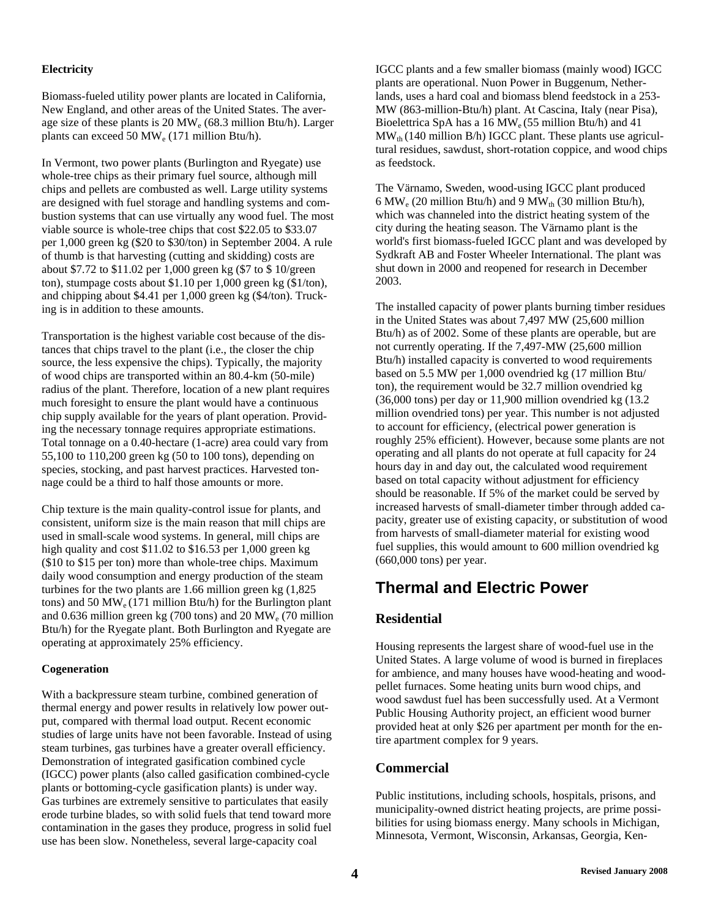#### **Electricity**

Biomass-fueled utility power plants are located in California, New England, and other areas of the United States. The average size of these plants is  $20 \text{ MW}_e$  (68.3 million Btu/h). Larger plants can exceed 50 MW<sub>e</sub> (171 million Btu/h).

In Vermont, two power plants (Burlington and Ryegate) use whole-tree chips as their primary fuel source, although mill chips and pellets are combusted as well. Large utility systems are designed with fuel storage and handling systems and combustion systems that can use virtually any wood fuel. The most viable source is whole-tree chips that cost \$22.05 to \$33.07 per 1,000 green kg (\$20 to \$30/ton) in September 2004. A rule of thumb is that harvesting (cutting and skidding) costs are about \$7.72 to \$11.02 per 1,000 green kg (\$7 to \$ 10/green ton), stumpage costs about \$1.10 per 1,000 green kg (\$1/ton), and chipping about \$4.41 per 1,000 green kg (\$4/ton). Trucking is in addition to these amounts.

Transportation is the highest variable cost because of the distances that chips travel to the plant (i.e., the closer the chip source, the less expensive the chips). Typically, the majority of wood chips are transported within an 80.4-km (50-mile) radius of the plant. Therefore, location of a new plant requires much foresight to ensure the plant would have a continuous chip supply available for the years of plant operation. Providing the necessary tonnage requires appropriate estimations. Total tonnage on a 0.40-hectare (1-acre) area could vary from 55,100 to 110,200 green kg (50 to 100 tons), depending on species, stocking, and past harvest practices. Harvested tonnage could be a third to half those amounts or more.

Chip texture is the main quality-control issue for plants, and consistent, uniform size is the main reason that mill chips are used in small-scale wood systems. In general, mill chips are high quality and cost \$11.02 to \$16.53 per 1,000 green kg (\$10 to \$15 per ton) more than whole-tree chips. Maximum daily wood consumption and energy production of the steam turbines for the two plants are 1.66 million green kg (1,825 tons) and 50 MW<sub>e</sub> (171 million Btu/h) for the Burlington plant and 0.636 million green kg (700 tons) and 20 MWe (70 million Btu/h) for the Ryegate plant. Both Burlington and Ryegate are operating at approximately 25% efficiency.

### **Cogeneration**

With a backpressure steam turbine, combined generation of thermal energy and power results in relatively low power output, compared with thermal load output. Recent economic studies of large units have not been favorable. Instead of using steam turbines, gas turbines have a greater overall efficiency. Demonstration of integrated gasification combined cycle (IGCC) power plants (also called gasification combined-cycle plants or bottoming-cycle gasification plants) is under way. Gas turbines are extremely sensitive to particulates that easily erode turbine blades, so with solid fuels that tend toward more contamination in the gases they produce, progress in solid fuel use has been slow. Nonetheless, several large-capacity coal

IGCC plants and a few smaller biomass (mainly wood) IGCC plants are operational. Nuon Power in Buggenum, Netherlands, uses a hard coal and biomass blend feedstock in a 253- MW (863-million-Btu/h) plant. At Cascina, Italy (near Pisa), Bioelettrica SpA has a 16  $\text{MW}_e$  (55 million Btu/h) and 41  $MW<sub>th</sub>$  (140 million B/h) IGCC plant. These plants use agricultural residues, sawdust, short-rotation coppice, and wood chips as feedstock.

The Värnamo, Sweden, wood-using IGCC plant produced 6 MW<sub>e</sub> (20 million Btu/h) and 9 MW<sub>th</sub> (30 million Btu/h), which was channeled into the district heating system of the city during the heating season. The Värnamo plant is the world's first biomass-fueled IGCC plant and was developed by Sydkraft AB and Foster Wheeler International. The plant was shut down in 2000 and reopened for research in December 2003.

The installed capacity of power plants burning timber residues in the United States was about 7,497 MW (25,600 million Btu/h) as of 2002. Some of these plants are operable, but are not currently operating. If the 7,497-MW (25,600 million Btu/h) installed capacity is converted to wood requirements based on 5.5 MW per 1,000 ovendried kg (17 million Btu/ ton), the requirement would be 32.7 million ovendried kg (36,000 tons) per day or 11,900 million ovendried kg (13.2 million ovendried tons) per year. This number is not adjusted to account for efficiency, (electrical power generation is roughly 25% efficient). However, because some plants are not operating and all plants do not operate at full capacity for 24 hours day in and day out, the calculated wood requirement based on total capacity without adjustment for efficiency should be reasonable. If 5% of the market could be served by increased harvests of small-diameter timber through added capacity, greater use of existing capacity, or substitution of wood from harvests of small-diameter material for existing wood fuel supplies, this would amount to 600 million ovendried kg (660,000 tons) per year.

# **Thermal and Electric Power**

# **Residential**

Housing represents the largest share of wood-fuel use in the United States. A large volume of wood is burned in fireplaces for ambience, and many houses have wood-heating and woodpellet furnaces. Some heating units burn wood chips, and wood sawdust fuel has been successfully used. At a Vermont Public Housing Authority project, an efficient wood burner provided heat at only \$26 per apartment per month for the entire apartment complex for 9 years.

# **Commercial**

Public institutions, including schools, hospitals, prisons, and municipality-owned district heating projects, are prime possibilities for using biomass energy. Many schools in Michigan, Minnesota, Vermont, Wisconsin, Arkansas, Georgia, Ken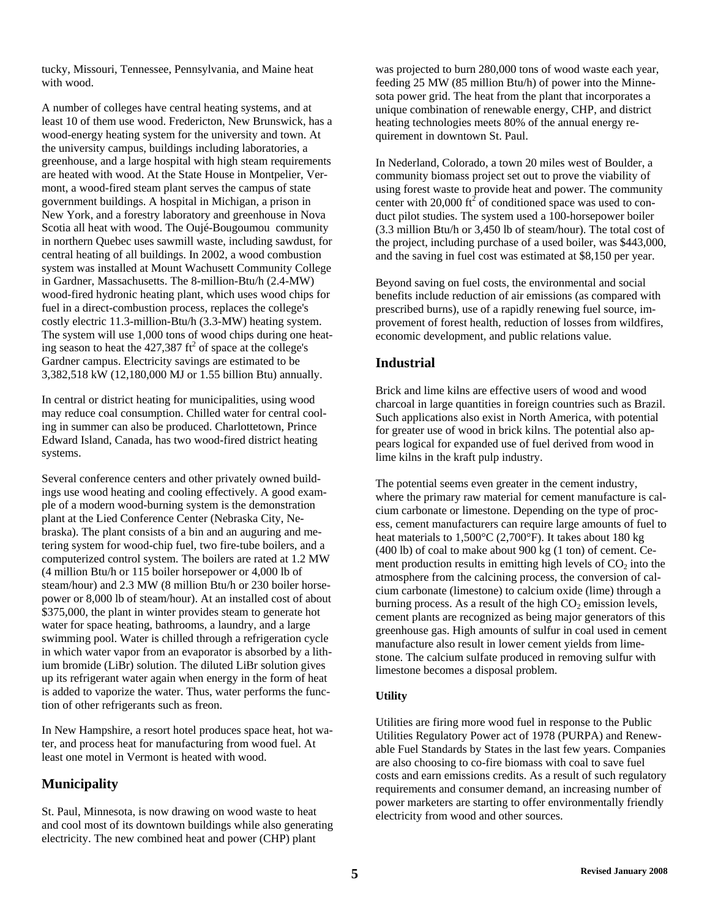tucky, Missouri, Tennessee, Pennsylvania, and Maine heat with wood.

A number of colleges have central heating systems, and at least 10 of them use wood. Fredericton, New Brunswick, has a wood-energy heating system for the university and town. At the university campus, buildings including laboratories, a greenhouse, and a large hospital with high steam requirements are heated with wood. At the State House in Montpelier, Vermont, a wood-fired steam plant serves the campus of state government buildings. A hospital in Michigan, a prison in New York, and a forestry laboratory and greenhouse in Nova Scotia all heat with wood. The Oujé-Bougoumou community in northern Quebec uses sawmill waste, including sawdust, for central heating of all buildings. In 2002, a wood combustion system was installed at Mount Wachusett Community College in Gardner, Massachusetts. The 8-million-Btu/h (2.4-MW) wood-fired hydronic heating plant, which uses wood chips for fuel in a direct-combustion process, replaces the college's costly electric 11.3-million-Btu/h (3.3-MW) heating system. The system will use 1,000 tons of wood chips during one heating season to heat the  $427,387$  ft<sup>2</sup> of space at the college's Gardner campus. Electricity savings are estimated to be 3,382,518 kW (12,180,000 MJ or 1.55 billion Btu) annually.

In central or district heating for municipalities, using wood may reduce coal consumption. Chilled water for central cooling in summer can also be produced. Charlottetown, Prince Edward Island, Canada, has two wood-fired district heating systems.

Several conference centers and other privately owned buildings use wood heating and cooling effectively. A good example of a modern wood-burning system is the demonstration plant at the Lied Conference Center (Nebraska City, Nebraska). The plant consists of a bin and an auguring and metering system for wood-chip fuel, two fire-tube boilers, and a computerized control system. The boilers are rated at 1.2 MW (4 million Btu/h or 115 boiler horsepower or 4,000 lb of steam/hour) and 2.3 MW (8 million Btu/h or 230 boiler horsepower or 8,000 lb of steam/hour). At an installed cost of about \$375,000, the plant in winter provides steam to generate hot water for space heating, bathrooms, a laundry, and a large swimming pool. Water is chilled through a refrigeration cycle in which water vapor from an evaporator is absorbed by a lithium bromide (LiBr) solution. The diluted LiBr solution gives up its refrigerant water again when energy in the form of heat is added to vaporize the water. Thus, water performs the function of other refrigerants such as freon.

In New Hampshire, a resort hotel produces space heat, hot water, and process heat for manufacturing from wood fuel. At least one motel in Vermont is heated with wood.

# **Municipality**

St. Paul, Minnesota, is now drawing on wood waste to heat and cool most of its downtown buildings while also generating electricity. The new combined heat and power (CHP) plant

was projected to burn 280,000 tons of wood waste each year, feeding 25 MW (85 million Btu/h) of power into the Minnesota power grid. The heat from the plant that incorporates a unique combination of renewable energy, CHP, and district heating technologies meets 80% of the annual energy requirement in downtown St. Paul.

In Nederland, Colorado, a town 20 miles west of Boulder, a community biomass project set out to prove the viability of using forest waste to provide heat and power. The community center with 20,000  $\text{ft}^2$  of conditioned space was used to conduct pilot studies. The system used a 100-horsepower boiler (3.3 million Btu/h or 3,450 lb of steam/hour). The total cost of the project, including purchase of a used boiler, was \$443,000, and the saving in fuel cost was estimated at \$8,150 per year.

Beyond saving on fuel costs, the environmental and social benefits include reduction of air emissions (as compared with prescribed burns), use of a rapidly renewing fuel source, improvement of forest health, reduction of losses from wildfires, economic development, and public relations value.

### **Industrial**

Brick and lime kilns are effective users of wood and wood charcoal in large quantities in foreign countries such as Brazil. Such applications also exist in North America, with potential for greater use of wood in brick kilns. The potential also appears logical for expanded use of fuel derived from wood in lime kilns in the kraft pulp industry.

The potential seems even greater in the cement industry, where the primary raw material for cement manufacture is calcium carbonate or limestone. Depending on the type of process, cement manufacturers can require large amounts of fuel to heat materials to  $1,500^{\circ}$ C (2,700 $^{\circ}$ F). It takes about 180 kg (400 lb) of coal to make about 900 kg (1 ton) of cement. Cement production results in emitting high levels of  $CO<sub>2</sub>$  into the atmosphere from the calcining process, the conversion of calcium carbonate (limestone) to calcium oxide (lime) through a burning process. As a result of the high  $CO<sub>2</sub>$  emission levels, cement plants are recognized as being major generators of this greenhouse gas. High amounts of sulfur in coal used in cement manufacture also result in lower cement yields from limestone. The calcium sulfate produced in removing sulfur with limestone becomes a disposal problem.

#### **Utility**

Utilities are firing more wood fuel in response to the Public Utilities Regulatory Power act of 1978 (PURPA) and Renewable Fuel Standards by States in the last few years. Companies are also choosing to co-fire biomass with coal to save fuel costs and earn emissions credits. As a result of such regulatory requirements and consumer demand, an increasing number of power marketers are starting to offer environmentally friendly electricity from wood and other sources.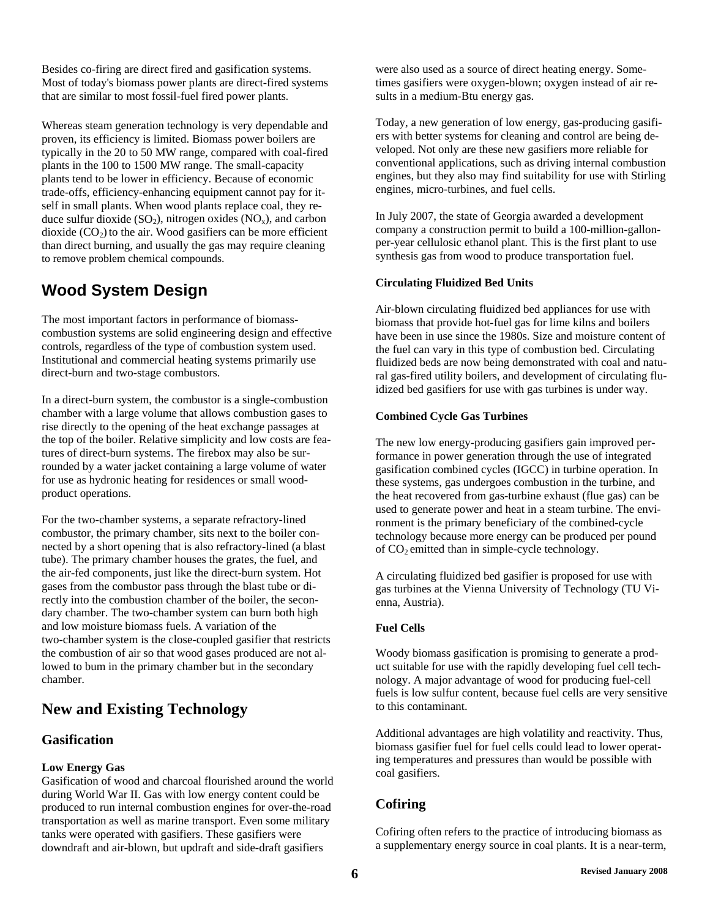Besides co-firing are direct fired and gasification systems. Most of today's biomass power plants are direct-fired systems that are similar to most fossil-fuel fired power plants.

Whereas steam generation technology is very dependable and proven, its efficiency is limited. Biomass power boilers are typically in the 20 to 50 MW range, compared with coal-fired plants in the 100 to 1500 MW range. The small-capacity plants tend to be lower in efficiency. Because of economic trade-offs, efficiency-enhancing equipment cannot pay for itself in small plants. When wood plants replace coal, they reduce sulfur dioxide  $(SO_2)$ , nitrogen oxides  $(NO_x)$ , and carbon dioxide  $(CO<sub>2</sub>)$  to the air. Wood gasifiers can be more efficient than direct burning, and usually the gas may require cleaning to remove problem chemical compounds.

# **Wood System Design**

The most important factors in performance of biomasscombustion systems are solid engineering design and effective controls, regardless of the type of combustion system used. Institutional and commercial heating systems primarily use direct-burn and two-stage combustors.

In a direct-burn system, the combustor is a single-combustion chamber with a large volume that allows combustion gases to rise directly to the opening of the heat exchange passages at the top of the boiler. Relative simplicity and low costs are features of direct-burn systems. The firebox may also be surrounded by a water jacket containing a large volume of water for use as hydronic heating for residences or small woodproduct operations.

For the two-chamber systems, a separate refractory-lined combustor, the primary chamber, sits next to the boiler connected by a short opening that is also refractory-lined (a blast tube). The primary chamber houses the grates, the fuel, and the air-fed components, just like the direct-burn system. Hot gases from the combustor pass through the blast tube or directly into the combustion chamber of the boiler, the secondary chamber. The two-chamber system can burn both high and low moisture biomass fuels. A variation of the two-chamber system is the close-coupled gasifier that restricts the combustion of air so that wood gases produced are not allowed to bum in the primary chamber but in the secondary chamber.

# **New and Existing Technology**

# **Gasification**

### **Low Energy Gas**

Gasification of wood and charcoal flourished around the world during World War II. Gas with low energy content could be produced to run internal combustion engines for over-the-road transportation as well as marine transport. Even some military tanks were operated with gasifiers. These gasifiers were downdraft and air-blown, but updraft and side-draft gasifiers

were also used as a source of direct heating energy. Sometimes gasifiers were oxygen-blown; oxygen instead of air results in a medium-Btu energy gas.

Today, a new generation of low energy, gas-producing gasifiers with better systems for cleaning and control are being developed. Not only are these new gasifiers more reliable for conventional applications, such as driving internal combustion engines, but they also may find suitability for use with Stirling engines, micro-turbines, and fuel cells.

In July 2007, the state of Georgia awarded a development company a construction permit to build a 100-million-gallonper-year cellulosic ethanol plant. This is the first plant to use synthesis gas from wood to produce transportation fuel.

### **Circulating Fluidized Bed Units**

Air-blown circulating fluidized bed appliances for use with biomass that provide hot-fuel gas for lime kilns and boilers have been in use since the 1980s. Size and moisture content of the fuel can vary in this type of combustion bed. Circulating fluidized beds are now being demonstrated with coal and natural gas-fired utility boilers, and development of circulating fluidized bed gasifiers for use with gas turbines is under way.

### **Combined Cycle Gas Turbines**

The new low energy-producing gasifiers gain improved performance in power generation through the use of integrated gasification combined cycles (IGCC) in turbine operation. In these systems, gas undergoes combustion in the turbine, and the heat recovered from gas-turbine exhaust (flue gas) can be used to generate power and heat in a steam turbine. The environment is the primary beneficiary of the combined-cycle technology because more energy can be produced per pound of  $CO<sub>2</sub>$  emitted than in simple-cycle technology.

A circulating fluidized bed gasifier is proposed for use with gas turbines at the Vienna University of Technology (TU Vienna, Austria).

# **Fuel Cells**

Woody biomass gasification is promising to generate a product suitable for use with the rapidly developing fuel cell technology. A major advantage of wood for producing fuel-cell fuels is low sulfur content, because fuel cells are very sensitive to this contaminant.

Additional advantages are high volatility and reactivity. Thus, biomass gasifier fuel for fuel cells could lead to lower operating temperatures and pressures than would be possible with coal gasifiers.

# **Cofiring**

Cofiring often refers to the practice of introducing biomass as a supplementary energy source in coal plants. It is a near-term,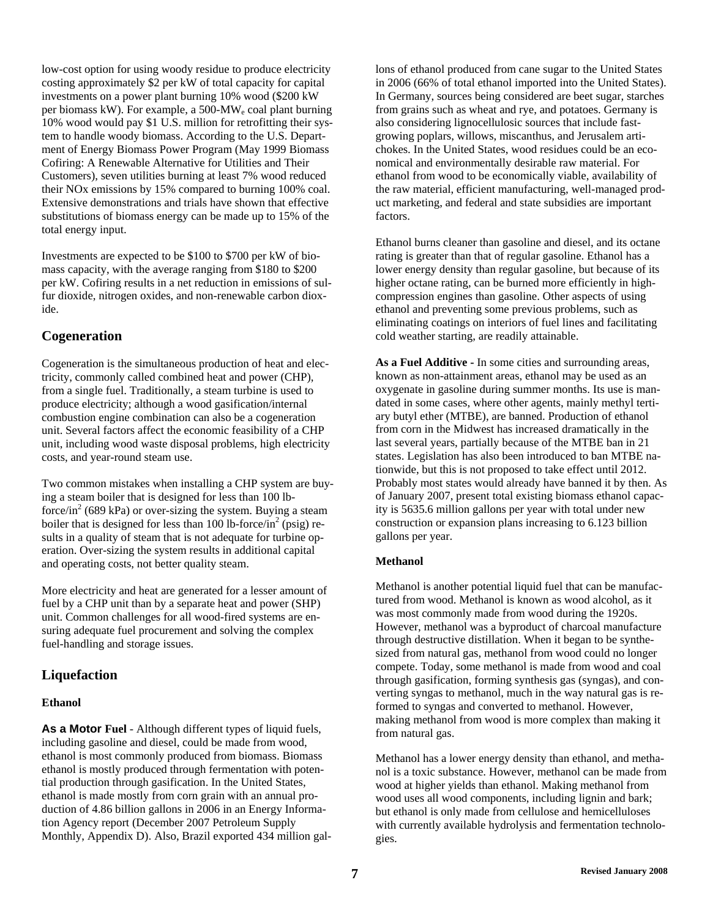low-cost option for using woody residue to produce electricity costing approximately \$2 per kW of total capacity for capital investments on a power plant burning 10% wood (\$200 kW per biomass kW). For example, a 500-MWe coal plant burning 10% wood would pay \$1 U.S. million for retrofitting their system to handle woody biomass. According to the U.S. Department of Energy Biomass Power Program (May 1999 Biomass Cofiring: A Renewable Alternative for Utilities and Their Customers), seven utilities burning at least 7% wood reduced their NOx emissions by 15% compared to burning 100% coal. Extensive demonstrations and trials have shown that effective substitutions of biomass energy can be made up to 15% of the total energy input.

Investments are expected to be \$100 to \$700 per kW of biomass capacity, with the average ranging from \$180 to \$200 per kW. Cofiring results in a net reduction in emissions of sulfur dioxide, nitrogen oxides, and non-renewable carbon dioxide.

### **Cogeneration**

Cogeneration is the simultaneous production of heat and electricity, commonly called combined heat and power (CHP), from a single fuel. Traditionally, a steam turbine is used to produce electricity; although a wood gasification/internal combustion engine combination can also be a cogeneration unit. Several factors affect the economic feasibility of a CHP unit, including wood waste disposal problems, high electricity costs, and year-round steam use.

Two common mistakes when installing a CHP system are buying a steam boiler that is designed for less than 100 lbforce/in<sup>2</sup> (689 kPa) or over-sizing the system. Buying a steam boiler that is designed for less than 100 lb-force/ $\sin^2$  (psig) results in a quality of steam that is not adequate for turbine operation. Over-sizing the system results in additional capital and operating costs, not better quality steam.

More electricity and heat are generated for a lesser amount of fuel by a CHP unit than by a separate heat and power (SHP) unit. Common challenges for all wood-fired systems are ensuring adequate fuel procurement and solving the complex fuel-handling and storage issues.

# **Liquefaction**

#### **Ethanol**

**As a Motor Fuel** - Although different types of liquid fuels, including gasoline and diesel, could be made from wood, ethanol is most commonly produced from biomass. Biomass ethanol is mostly produced through fermentation with potential production through gasification. In the United States, ethanol is made mostly from corn grain with an annual production of 4.86 billion gallons in 2006 in an Energy Information Agency report (December 2007 Petroleum Supply Monthly, Appendix D). Also, Brazil exported 434 million gal-

lons of ethanol produced from cane sugar to the United States in 2006 (66% of total ethanol imported into the United States). In Germany, sources being considered are beet sugar, starches from grains such as wheat and rye, and potatoes. Germany is also considering lignocellulosic sources that include fastgrowing poplars, willows, miscanthus, and Jerusalem artichokes. In the United States, wood residues could be an economical and environmentally desirable raw material. For ethanol from wood to be economically viable, availability of the raw material, efficient manufacturing, well-managed product marketing, and federal and state subsidies are important factors.

Ethanol burns cleaner than gasoline and diesel, and its octane rating is greater than that of regular gasoline. Ethanol has a lower energy density than regular gasoline, but because of its higher octane rating, can be burned more efficiently in highcompression engines than gasoline. Other aspects of using ethanol and preventing some previous problems, such as eliminating coatings on interiors of fuel lines and facilitating cold weather starting, are readily attainable.

**As a Fuel Additive -** In some cities and surrounding areas, known as non-attainment areas, ethanol may be used as an oxygenate in gasoline during summer months. Its use is mandated in some cases, where other agents, mainly methyl tertiary butyl ether (MTBE), are banned. Production of ethanol from corn in the Midwest has increased dramatically in the last several years, partially because of the MTBE ban in 21 states. Legislation has also been introduced to ban MTBE nationwide, but this is not proposed to take effect until 2012. Probably most states would already have banned it by then. As of January 2007, present total existing biomass ethanol capacity is 5635.6 million gallons per year with total under new construction or expansion plans increasing to 6.123 billion gallons per year.

### **Methanol**

Methanol is another potential liquid fuel that can be manufactured from wood. Methanol is known as wood alcohol, as it was most commonly made from wood during the 1920s. However, methanol was a byproduct of charcoal manufacture through destructive distillation. When it began to be synthesized from natural gas, methanol from wood could no longer compete. Today, some methanol is made from wood and coal through gasification, forming synthesis gas (syngas), and converting syngas to methanol, much in the way natural gas is reformed to syngas and converted to methanol. However, making methanol from wood is more complex than making it from natural gas.

Methanol has a lower energy density than ethanol, and methanol is a toxic substance. However, methanol can be made from wood at higher yields than ethanol. Making methanol from wood uses all wood components, including lignin and bark; but ethanol is only made from cellulose and hemicelluloses with currently available hydrolysis and fermentation technologies.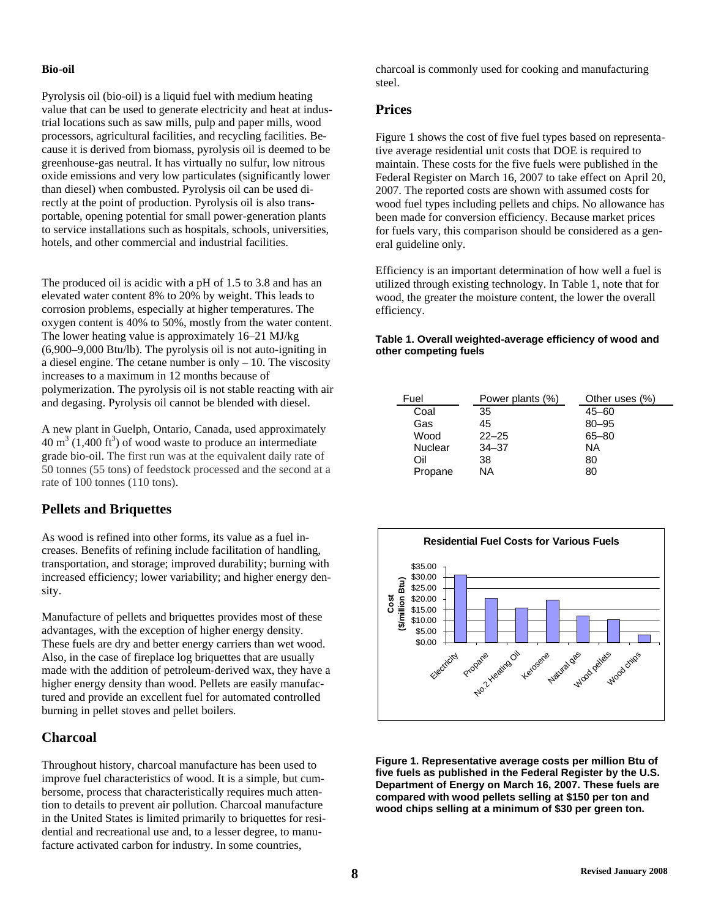#### **Bio-oil**

Pyrolysis oil (bio-oil) is a liquid fuel with medium heating value that can be used to generate electricity and heat at industrial locations such as saw mills, pulp and paper mills, wood processors, agricultural facilities, and recycling facilities. Because it is derived from biomass, pyrolysis oil is deemed to be greenhouse-gas neutral. It has virtually no sulfur, low nitrous oxide emissions and very low particulates (significantly lower than diesel) when combusted. Pyrolysis oil can be used directly at the point of production. Pyrolysis oil is also transportable, opening potential for small power-generation plants to service installations such as hospitals, schools, universities, hotels, and other commercial and industrial facilities.

The produced oil is acidic with a [pH](http://en.wikipedia.org/wiki/PH) of 1.5 to 3.8 and has an elevated water content 8% to 20% by weight. This leads to [corrosion](http://en.wikipedia.org/wiki/Corrosion) problems, especially at higher temperatures. The oxygen content is 40% to 50%, mostly from the water content. The lower heating value is approximately 16–21 MJ/kg (6,900–9,000 Btu/lb). The pyrolysis oil is not auto-igniting in a [diesel engine.](http://en.wikipedia.org/wiki/Diesel_engine) The [cetane number](http://en.wikipedia.org/wiki/Cetane_number) is only – 10. The [viscosity](http://en.wikipedia.org/wiki/Viscosity) increases to a maximum in 12 months because of [polymerization](http://en.wikipedia.org/wiki/Polymerization). The pyrolysis oil is not stable reacting with air and [degasing.](http://en.wikipedia.org/wiki/Degasification) Pyrolysis oil cannot be blended with diesel.

A new plant in Guelph, Ontario, Canada, used approximately  $40 \text{ m}^3$  (1,400 ft<sup>3</sup>) of wood waste to produce an intermediate grade bio-oil. The first run was at the equivalent daily rate of 50 tonnes (55 tons) of feedstock processed and the second at a rate of 100 tonnes (110 tons).

### **Pellets and Briquettes**

As wood is refined into other forms, its value as a fuel increases. Benefits of refining include facilitation of handling, transportation, and storage; improved durability; burning with increased efficiency; lower variability; and higher energy density.

Manufacture of pellets and briquettes provides most of these advantages, with the exception of higher energy density. These fuels are dry and better energy carriers than wet wood. Also, in the case of fireplace log briquettes that are usually made with the addition of petroleum-derived wax, they have a higher energy density than wood. Pellets are easily manufactured and provide an excellent fuel for automated controlled burning in pellet stoves and pellet boilers.

### **Charcoal**

Throughout history, charcoal manufacture has been used to improve fuel characteristics of wood. It is a simple, but cumbersome, process that characteristically requires much attention to details to prevent air pollution. Charcoal manufacture in the United States is limited primarily to briquettes for residential and recreational use and, to a lesser degree, to manufacture activated carbon for industry. In some countries,

charcoal is commonly used for cooking and manufacturing steel.

### **Prices**

Figure 1 shows the cost of five fuel types based on representative average residential unit costs that DOE is required to maintain. These costs for the five fuels were published in the Federal Register on March 16, 2007 to take effect on April 20, 2007. The reported costs are shown with assumed costs for wood fuel types including pellets and chips. No allowance has been made for conversion efficiency. Because market prices for fuels vary, this comparison should be considered as a general guideline only.

Efficiency is an important determination of how well a fuel is utilized through existing technology. In Table 1, note that for wood, the greater the moisture content, the lower the overall efficiency.

#### **Table 1. Overall weighted-average efficiency of wood and other competing fuels**

| Fuel           | Power plants (%) | Other uses (%) |
|----------------|------------------|----------------|
| Coal           | 35               | $45 - 60$      |
| Gas            | 45               | $80 - 95$      |
| Wood           | $22 - 25$        | $65 - 80$      |
| <b>Nuclear</b> | $34 - 37$        | ΝA             |
| Oil            | 38               | 80             |
| Propane        | ΝA               | 80             |



**Figure 1. Representative average costs per million Btu of five fuels as published in the Federal Register by the U.S. Department of Energy on March 16, 2007. These fuels are compared with wood pellets selling at \$150 per ton and wood chips selling at a minimum of \$30 per green ton.**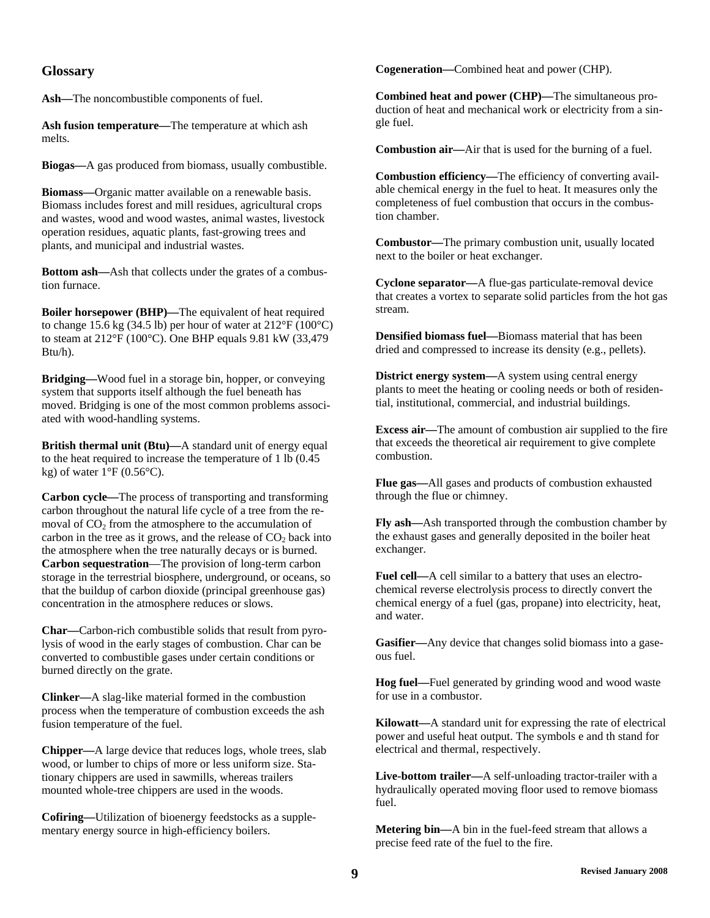### **Glossary**

**Ash—**The noncombustible components of fuel.

**Ash fusion temperature—**The temperature at which ash melts.

**Biogas—**A gas produced from biomass, usually combustible.

**Biomass—**Organic matter available on a renewable basis. Biomass includes forest and mill residues, agricultural crops and wastes, wood and wood wastes, animal wastes, livestock operation residues, aquatic plants, fast-growing trees and plants, and municipal and industrial wastes.

**Bottom ash—**Ash that collects under the grates of a combustion furnace.

**Boiler horsepower (BHP)—**The equivalent of heat required to change 15.6 kg (34.5 lb) per hour of water at 212°F (100°C) to steam at 212°F (100°C). One BHP equals 9.81 kW (33,479 Btu/h).

**Bridging—**Wood fuel in a storage bin, hopper, or conveying system that supports itself although the fuel beneath has moved. Bridging is one of the most common problems associated with wood-handling systems.

**British thermal unit (Btu)—**A standard unit of energy equal to the heat required to increase the temperature of 1 lb (0.45 kg) of water  $1^{\circ}F(0.56^{\circ}C)$ .

**Carbon cycle—**The process of transporting and transforming carbon throughout the natural life cycle of a tree from the removal of  $CO<sub>2</sub>$  from the atmosphere to the accumulation of carbon in the tree as it grows, and the release of  $CO<sub>2</sub>$  back into the atmosphere when the tree naturally decays or is burned. **Carbon sequestration**—The provision of long-term carbon storage in the terrestrial biosphere, underground, or oceans, so that the buildup of carbon dioxide (principal greenhouse gas) concentration in the atmosphere reduces or slows.

**Char—**Carbon-rich combustible solids that result from pyrolysis of wood in the early stages of combustion. Char can be converted to combustible gases under certain conditions or burned directly on the grate.

**Clinker—**A slag-like material formed in the combustion process when the temperature of combustion exceeds the ash fusion temperature of the fuel.

**Chipper—**A large device that reduces logs, whole trees, slab wood, or lumber to chips of more or less uniform size. Stationary chippers are used in sawmills, whereas trailers mounted whole-tree chippers are used in the woods.

**Cofiring—**Utilization of bioenergy feedstocks as a supplementary energy source in high-efficiency boilers.

**Cogeneration—**Combined heat and power (CHP).

**Combined heat and power (CHP)—**The simultaneous production of heat and mechanical work or electricity from a single fuel.

**Combustion air—**Air that is used for the burning of a fuel.

**Combustion efficiency—**The efficiency of converting available chemical energy in the fuel to heat. It measures only the completeness of fuel combustion that occurs in the combustion chamber.

**Combustor—**The primary combustion unit, usually located next to the boiler or heat exchanger.

**Cyclone separator—**A flue-gas particulate-removal device that creates a vortex to separate solid particles from the hot gas stream.

**Densified biomass fuel—**Biomass material that has been dried and compressed to increase its density (e.g., pellets).

**District energy system—**A system using central energy plants to meet the heating or cooling needs or both of residential, institutional, commercial, and industrial buildings.

**Excess air—**The amount of combustion air supplied to the fire that exceeds the theoretical air requirement to give complete combustion.

**Flue gas—**All gases and products of combustion exhausted through the flue or chimney.

**Fly ash—**Ash transported through the combustion chamber by the exhaust gases and generally deposited in the boiler heat exchanger.

**Fuel cell—**A cell similar to a battery that uses an electrochemical reverse electrolysis process to directly convert the chemical energy of a fuel (gas, propane) into electricity, heat, and water.

**Gasifier—**Any device that changes solid biomass into a gaseous fuel.

**Hog fuel—**Fuel generated by grinding wood and wood waste for use in a combustor.

**Kilowatt—**A standard unit for expressing the rate of electrical power and useful heat output. The symbols e and th stand for electrical and thermal, respectively.

**Live-bottom trailer—**A self-unloading tractor-trailer with a hydraulically operated moving floor used to remove biomass fuel.

**Metering bin—**A bin in the fuel-feed stream that allows a precise feed rate of the fuel to the fire.